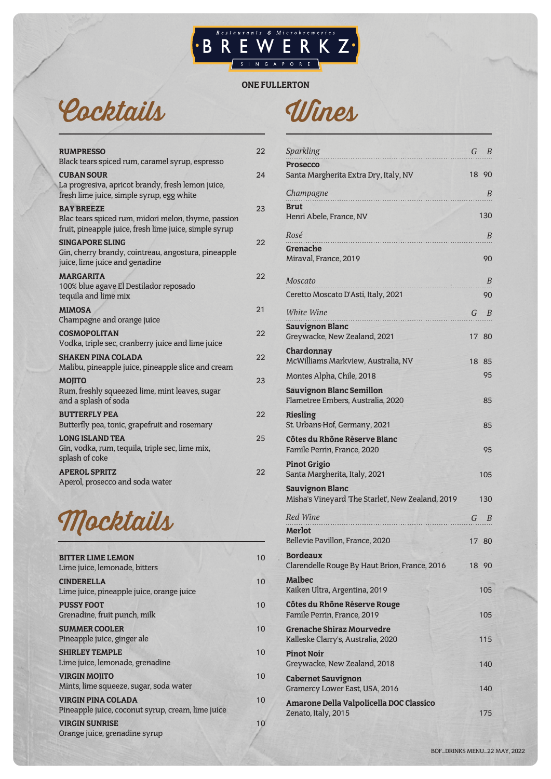# **BREWERKZ**

ONE FULLERTON

### Cocktails

| <b>RUMPRESSO</b><br>Black tears spiced rum, caramel syrup, espresso                                                                | 22  |
|------------------------------------------------------------------------------------------------------------------------------------|-----|
| <b>CUBAN SOUR</b><br>La progresiva, apricot brandy, fresh lemon juice,<br>fresh lime juice, simple syrup, egg white                | 24  |
| <b>BAY BREEZE</b><br>Blac tears spiced rum, midori melon, thyme, passion<br>fruit, pineapple juice, fresh lime juice, simple syrup | 23  |
| <b>SINGAPORE SLING</b><br>Gin, cherry brandy, cointreau, angostura, pineapple<br>juice, lime juice and genadine                    | 22  |
| <b>MARGARITA</b><br>100% blue agave El Destilador reposado<br>tequila and lime mix                                                 | 22  |
| <b>MIMOSA</b><br>Champagne and orange juice                                                                                        | 21  |
| <b>COSMOPOLITAN</b><br>Vodka, triple sec, cranberry juice and lime juice                                                           | 22  |
| <b>SHAKEN PINA COLADA</b><br>Malibu, pineapple juice, pineapple slice and cream                                                    | 22  |
| <b>MOJITO</b><br>Rum, freshly squeezed lime, mint leaves, sugar<br>and a splash of soda                                            | 23  |
| <b>BUTTERFLY PEA</b><br>Butterfly pea, tonic, grapefruit and rosemary                                                              | 22  |
| <b>LONG ISLAND TEA</b><br>Gin, vodka, rum, tequila, triple sec, lime mix,<br>splash of coke                                        | 2.5 |
| <b>APEROL SPRITZ</b><br>Aperol, prosecco and soda water                                                                            | 22  |
|                                                                                                                                    |     |



| <b>BITTER LIME LEMON</b><br>Lime juice, lemonade, bitters                      | 10 |
|--------------------------------------------------------------------------------|----|
| <b>CINDERELLA</b><br>Lime juice, pineapple juice, orange juice                 | 10 |
| <b>PUSSY FOOT</b><br>Grenadine, fruit punch, milk                              | 10 |
| <b>SUMMER COOLER</b><br>Pineapple juice, ginger ale                            | 10 |
| <b>SHIRLEY TEMPLE</b><br>Lime juice, lemonade, grenadine                       | 10 |
| <b>VIRGIN MOJITO</b><br>Mints, lime squeeze, sugar, soda water                 | 10 |
| <b>VIRGIN PINA COLADA</b><br>Pineapple juice, coconut syrup, cream, lime juice | 10 |
| <b>VIRGIN SUNRISE</b>                                                          | 10 |
| Orange juice, grenadine syrup                                                  |    |

| <b>Sparkling</b>                                                            | G<br>B   |
|-----------------------------------------------------------------------------|----------|
| <b>Prosecco</b><br>Santa Margherita Extra Dry, Italy, NV                    | 18<br>90 |
| Champagne<br><b>CONTRACTOR</b>                                              | В        |
| <b>Brut</b><br>Henri Abele, France, NV                                      | 130      |
| Rosé                                                                        | В        |
| Grenache                                                                    |          |
| Miraval, France, 2019                                                       | 90       |
| Moscato                                                                     | В        |
| Ceretto Moscato D'Asti, Italy, 2021                                         | 90       |
| White Wine                                                                  | G<br>В   |
| <b>Sauvignon Blanc</b><br>Greywacke, New Zealand, 2021                      | 17 80    |
| Chardonnay                                                                  |          |
| McWilliams Markview, Australia, NV                                          | 18<br>85 |
| Montes Alpha, Chile, 2018                                                   | 95       |
| <b>Sauvignon Blanc Semillon</b><br>Flametree Embers, Australia, 2020        | 85       |
| Riesling<br>St. Urbans-Hof, Germany, 2021                                   | 85       |
| Côtes du Rhône Réserve Blanc<br>Famile Perrin, France, 2020                 | 95       |
| <b>Pinot Grigio</b><br>Santa Margherita, Italy, 2021                        | 105      |
| <b>Sauvignon Blanc</b><br>Misha's Vineyard 'The Starlet', New Zealand, 2019 | 130      |
| Red Wine<br>.                                                               | G<br>B   |
| Merlot<br>Bellevie Pavillon, France, 2020                                   | 17<br>80 |
| <b>Bordeaux</b><br>Clarendelle Rouge By Haut Brion, France, 2016            | 18 90    |
| Malbec<br>Kaiken Ultra, Argentina, 2019                                     | 105      |
| Côtes du Rhône Réserve Rouge<br>Famile Perrin, France, 2019                 | 105      |
| <b>Grenache Shiraz Mourvedre</b><br>Kalleske Clarry's, Australia, 2020      | 115      |
| <b>Pinot Noir</b><br>Greywacke, New Zealand, 2018                           | 140      |
| <b>Cabernet Sauvignon</b><br>Gramercy Lower East, USA, 2016                 | 140      |
| Amarone Della Valpolicella DOC Classico                                     |          |
| Zenato, Italy, 2015                                                         | 175      |